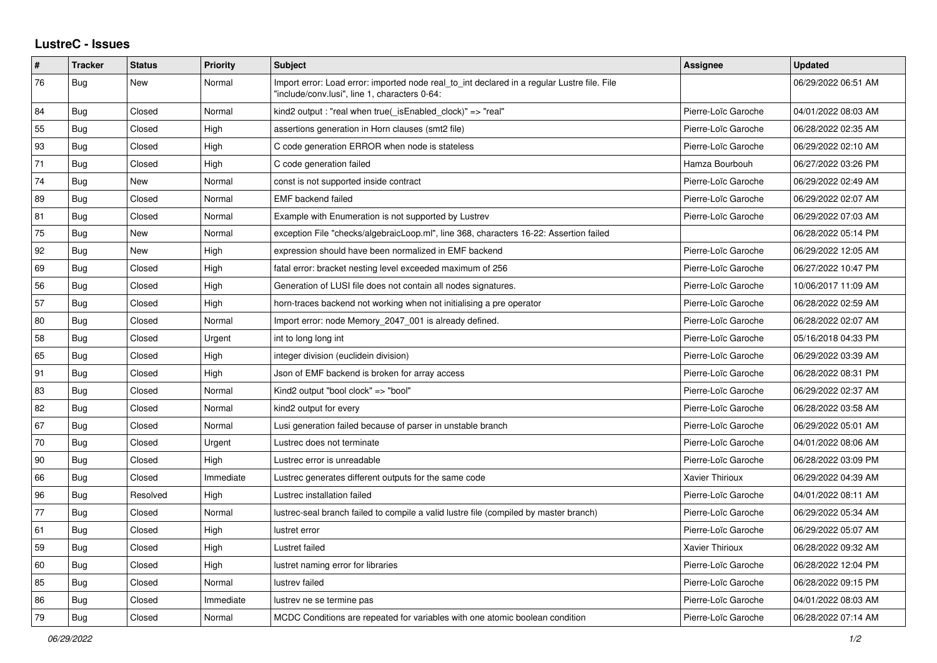## **LustreC - Issues**

| #  | <b>Tracker</b> | <b>Status</b> | <b>Priority</b> | <b>Subject</b>                                                                                                                               | <b>Assignee</b>     | <b>Updated</b>      |
|----|----------------|---------------|-----------------|----------------------------------------------------------------------------------------------------------------------------------------------|---------------------|---------------------|
| 76 | <b>Bug</b>     | New           | Normal          | Import error: Load error: imported node real to int declared in a regular Lustre file. File<br>"include/conv.lusi", line 1, characters 0-64: |                     | 06/29/2022 06:51 AM |
| 84 | Bug            | Closed        | Normal          | kind2 output : "real when true(_isEnabled_clock)" => "real"                                                                                  | Pierre-Loïc Garoche | 04/01/2022 08:03 AM |
| 55 | <b>Bug</b>     | Closed        | High            | assertions generation in Horn clauses (smt2 file)                                                                                            | Pierre-Loïc Garoche | 06/28/2022 02:35 AM |
| 93 | <b>Bug</b>     | Closed        | High            | C code generation ERROR when node is stateless                                                                                               | Pierre-Loïc Garoche | 06/29/2022 02:10 AM |
| 71 | <b>Bug</b>     | Closed        | High            | C code generation failed                                                                                                                     | Hamza Bourbouh      | 06/27/2022 03:26 PM |
| 74 | <b>Bug</b>     | <b>New</b>    | Normal          | const is not supported inside contract                                                                                                       | Pierre-Loïc Garoche | 06/29/2022 02:49 AM |
| 89 | <b>Bug</b>     | Closed        | Normal          | <b>EMF</b> backend failed                                                                                                                    | Pierre-Loïc Garoche | 06/29/2022 02:07 AM |
| 81 | <b>Bug</b>     | Closed        | Normal          | Example with Enumeration is not supported by Lustrev                                                                                         | Pierre-Loïc Garoche | 06/29/2022 07:03 AM |
| 75 | <b>Bug</b>     | New           | Normal          | exception File "checks/algebraicLoop.ml", line 368, characters 16-22: Assertion failed                                                       |                     | 06/28/2022 05:14 PM |
| 92 | <b>Bug</b>     | New           | High            | expression should have been normalized in EMF backend                                                                                        | Pierre-Loïc Garoche | 06/29/2022 12:05 AM |
| 69 | <b>Bug</b>     | Closed        | High            | fatal error: bracket nesting level exceeded maximum of 256                                                                                   | Pierre-Loïc Garoche | 06/27/2022 10:47 PM |
| 56 | Bug            | Closed        | High            | Generation of LUSI file does not contain all nodes signatures.                                                                               | Pierre-Loïc Garoche | 10/06/2017 11:09 AM |
| 57 | <b>Bug</b>     | Closed        | High            | horn-traces backend not working when not initialising a pre operator                                                                         | Pierre-Loïc Garoche | 06/28/2022 02:59 AM |
| 80 | <b>Bug</b>     | Closed        | Normal          | Import error: node Memory_2047_001 is already defined.                                                                                       | Pierre-Loïc Garoche | 06/28/2022 02:07 AM |
| 58 | Bug            | Closed        | Urgent          | int to long long int                                                                                                                         | Pierre-Loïc Garoche | 05/16/2018 04:33 PM |
| 65 | Bug            | Closed        | High            | integer division (euclidein division)                                                                                                        | Pierre-Loïc Garoche | 06/29/2022 03:39 AM |
| 91 | Bug            | Closed        | High            | Json of EMF backend is broken for array access                                                                                               | Pierre-Loïc Garoche | 06/28/2022 08:31 PM |
| 83 | Bug            | Closed        | Normal          | Kind2 output "bool clock" => "bool"                                                                                                          | Pierre-Loïc Garoche | 06/29/2022 02:37 AM |
| 82 | <b>Bug</b>     | Closed        | Normal          | kind2 output for every                                                                                                                       | Pierre-Loïc Garoche | 06/28/2022 03:58 AM |
| 67 | Bug            | Closed        | Normal          | Lusi generation failed because of parser in unstable branch                                                                                  | Pierre-Loïc Garoche | 06/29/2022 05:01 AM |
| 70 | Bug            | Closed        | Urgent          | Lustrec does not terminate                                                                                                                   | Pierre-Loïc Garoche | 04/01/2022 08:06 AM |
| 90 | Bug            | Closed        | High            | Lustrec error is unreadable                                                                                                                  | Pierre-Loïc Garoche | 06/28/2022 03:09 PM |
| 66 | <b>Bug</b>     | Closed        | Immediate       | Lustrec generates different outputs for the same code                                                                                        | Xavier Thirioux     | 06/29/2022 04:39 AM |
| 96 | Bug            | Resolved      | High            | Lustrec installation failed                                                                                                                  | Pierre-Loïc Garoche | 04/01/2022 08:11 AM |
| 77 | Bug            | Closed        | Normal          | lustrec-seal branch failed to compile a valid lustre file (compiled by master branch)                                                        | Pierre-Loïc Garoche | 06/29/2022 05:34 AM |
| 61 | Bug            | Closed        | High            | lustret error                                                                                                                                | Pierre-Loïc Garoche | 06/29/2022 05:07 AM |
| 59 | Bug            | Closed        | High            | Lustret failed                                                                                                                               | Xavier Thirioux     | 06/28/2022 09:32 AM |
| 60 | <b>Bug</b>     | Closed        | High            | lustret naming error for libraries                                                                                                           | Pierre-Loïc Garoche | 06/28/2022 12:04 PM |
| 85 | <b>Bug</b>     | Closed        | Normal          | lustrev failed                                                                                                                               | Pierre-Loïc Garoche | 06/28/2022 09:15 PM |
| 86 | Bug            | Closed        | Immediate       | lustrev ne se termine pas                                                                                                                    | Pierre-Loïc Garoche | 04/01/2022 08:03 AM |
| 79 | Bug            | Closed        | Normal          | MCDC Conditions are repeated for variables with one atomic boolean condition                                                                 | Pierre-Loïc Garoche | 06/28/2022 07:14 AM |